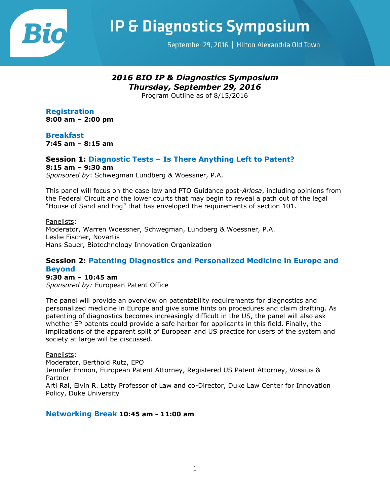

**IP & Diagnostics Symposium** 

September 29, 2016 | Hilton Alexandria Old Town

# *2016 BIO IP & Diagnostics Symposium Thursday, September 29, 2016*

Program Outline as of 8/15/2016

**Registration 8:00 am – 2:00 pm**

**Breakfast 7:45 am – 8:15 am**

# **Session 1: Diagnostic Tests – Is There Anything Left to Patent?**

**8:15 am – 9:30 am**

*Sponsored by*: Schwegman Lundberg & Woessner, P.A.

This panel will focus on the case law and PTO Guidance post-*Ariosa*, including opinions from the Federal Circuit and the lower courts that may begin to reveal a path out of the legal "House of Sand and Fog" that has enveloped the requirements of section 101.

### Panelists:

Moderator, Warren Woessner, Schwegman, Lundberg & Woessner, P.A. Leslie Fischer, Novartis Hans Sauer, Biotechnology Innovation Organization

### **Session 2: Patenting Diagnostics and Personalized Medicine in Europe and Beyond**

### **9:30 am – 10:45 am**

*Sponsored by:* European Patent Office

The panel will provide an overview on patentability requirements for diagnostics and personalized medicine in Europe and give some hints on procedures and claim drafting. As patenting of diagnostics becomes increasingly difficult in the US, the panel will also ask whether EP patents could provide a safe harbor for applicants in this field. Finally, the implications of the apparent split of European and US practice for users of the system and society at large will be discussed.

Panelists:

Moderator, Berthold Rutz, EPO Jennifer Enmon, European Patent Attorney, Registered US Patent Attorney, Vossius & Partner Arti Rai, Elvin R. Latty Professor of Law and co-Director, Duke Law Center for Innovation

Policy, Duke University

### **Networking Break 10:45 am - 11:00 am**